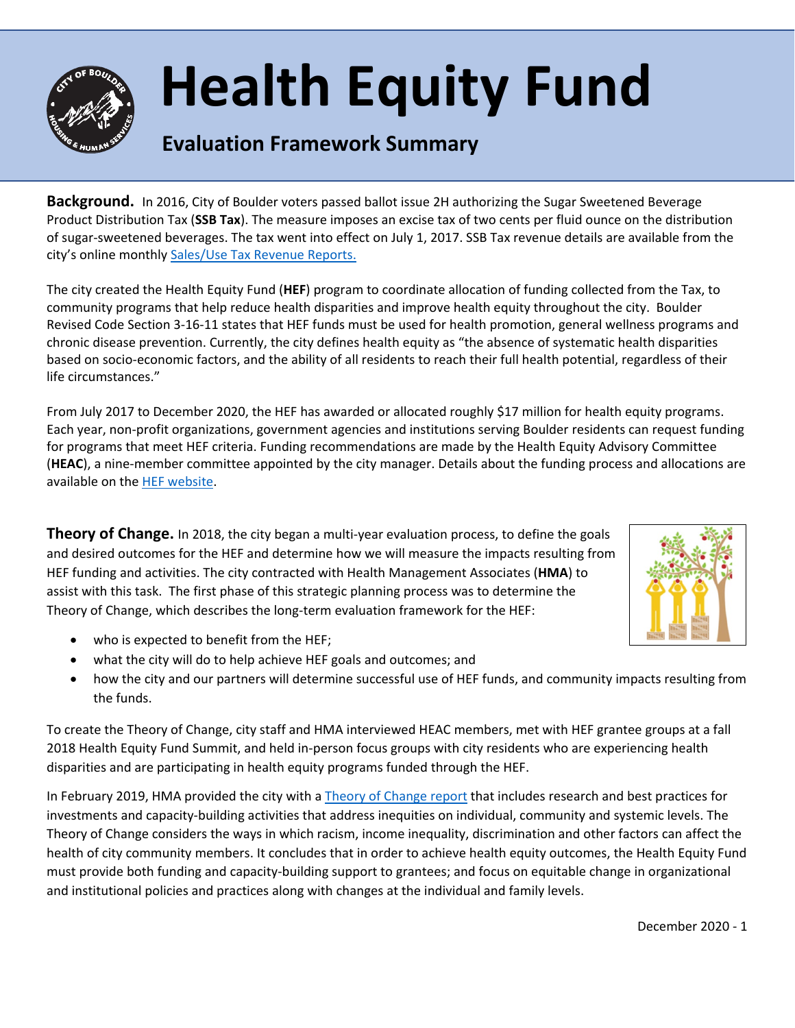

## **Health Equity Fund**

## **Evaluation Framework Summary**

**Background.** In 2016, City of Boulder voters passed ballot issue 2H authorizing the Sugar Sweetened Beverage Product Distribution Tax (**SSB Tax**). The measure imposes an excise tax of two cents per fluid ounce on the distribution of sugar-sweetened beverages. The tax went into effect on July 1, 2017. SSB Tax revenue details are available from the city's online monthly [Sales/Use Tax Revenue Reports.](https://bouldercolorado.gov/tax-license/revenue-reports)

The city created the Health Equity Fund (**HEF**) program to coordinate allocation of funding collected from the Tax, to community programs that help reduce health disparities and improve health equity throughout the city. Boulder Revised Code Section 3-16-11 states that HEF funds must be used for health promotion, general wellness programs and chronic disease prevention. Currently, the city defines health equity as "the absence of systematic health disparities based on socio-economic factors, and the ability of all residents to reach their full health potential, regardless of their life circumstances."

From July 2017 to December 2020, the HEF has awarded or allocated roughly \$17 million for health equity programs. Each year, non-profit organizations, government agencies and institutions serving Boulder residents can request funding for programs that meet HEF criteria. Funding recommendations are made by the Health Equity Advisory Committee (**HEAC**), a nine-member committee appointed by the city manager. Details about the funding process and allocations are available on th[e HEF website.](https://bouldercolorado.gov/human-services/health-equity-fund)

**Theory of Change.** In 2018, the city began a multi-year evaluation process, to define the goals and desired outcomes for the HEF and determine how we will measure the impacts resulting from HEF funding and activities. The city contracted with Health Management Associates (**HMA**) to assist with this task. The first phase of this strategic planning process was to determine the Theory of Change, which describes the long-term evaluation framework for the HEF:



- who is expected to benefit from the HEF;
- what the city will do to help achieve HEF goals and outcomes; and
- how the city and our partners will determine successful use of HEF funds, and community impacts resulting from the funds.

To create the Theory of Change, city staff and HMA interviewed HEAC members, met with HEF grantee groups at a fall 2018 Health Equity Fund Summit, and held in-person focus groups with city residents who are experiencing health disparities and are participating in health equity programs funded through the HEF.

In February 2019, HMA provided the city with a [Theory of Change report](https://www-static.bouldercolorado.gov/docs/HEF_Theory_of_Change_Final-1-201904170850.pdf?_ga=2.23219257.2015080950.1609709452-888156451.1594915982) that includes research and best practices for investments and capacity-building activities that address inequities on individual, community and systemic levels. The Theory of Change considers the ways in which racism, income inequality, discrimination and other factors can affect the health of city community members. It concludes that in order to achieve health equity outcomes, the Health Equity Fund must provide both funding and capacity-building support to grantees; and focus on equitable change in organizational and institutional policies and practices along with changes at the individual and family levels.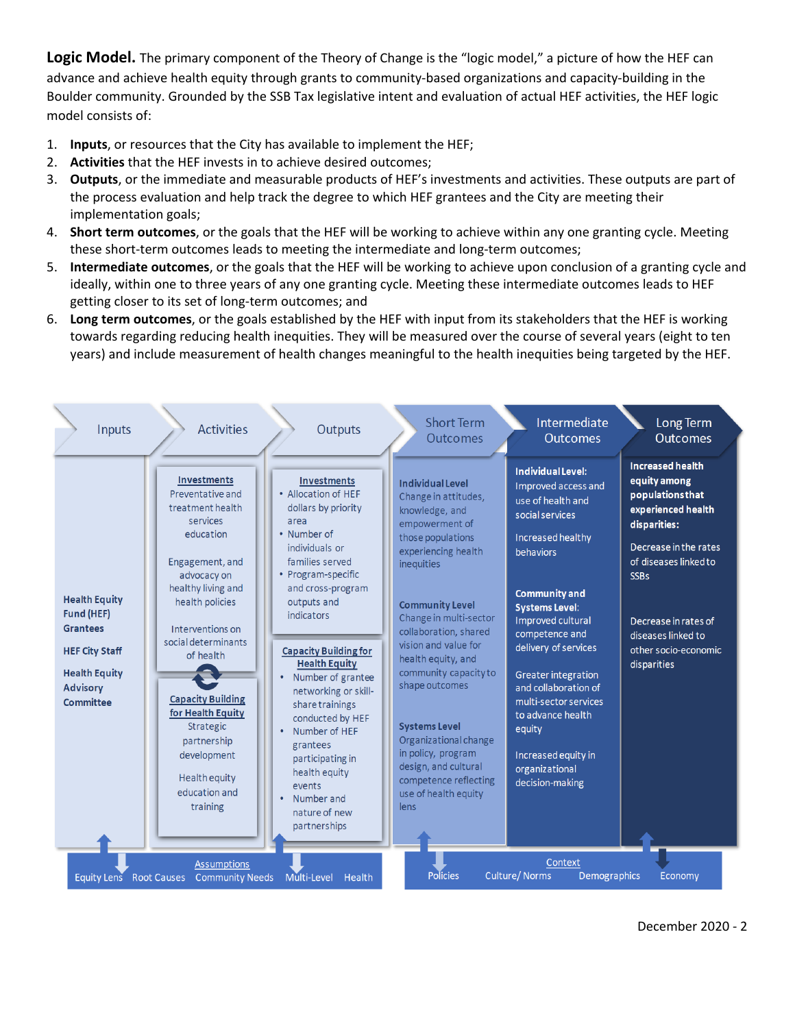**Logic Model.** The primary component of the Theory of Change is the "logic model," a picture of how the HEF can advance and achieve health equity through grants to community-based organizations and capacity-building in the Boulder community. Grounded by the SSB Tax legislative intent and evaluation of actual HEF activities, the HEF logic model consists of:

- 1. **Inputs**, or resources that the City has available to implement the HEF;
- 2. **Activities** that the HEF invests in to achieve desired outcomes;
- 3. **Outputs**, or the immediate and measurable products of HEF's investments and activities. These outputs are part of the process evaluation and help track the degree to which HEF grantees and the City are meeting their implementation goals;
- 4. **Short term outcomes**, or the goals that the HEF will be working to achieve within any one granting cycle. Meeting these short-term outcomes leads to meeting the intermediate and long-term outcomes;
- 5. **Intermediate outcomes**, or the goals that the HEF will be working to achieve upon conclusion of a granting cycle and ideally, within one to three years of any one granting cycle. Meeting these intermediate outcomes leads to HEF getting closer to its set of long-term outcomes; and
- 6. **Long term outcomes**, or the goals established by the HEF with input from its stakeholders that the HEF is working towards regarding reducing health inequities. They will be measured over the course of several years (eight to ten years) and include measurement of health changes meaningful to the health inequities being targeted by the HEF.